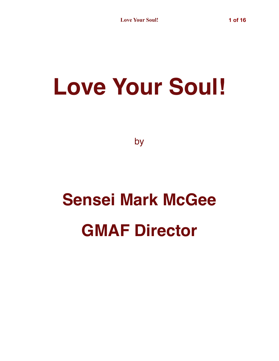## **Love Your Soul!**

by

## **Sensei Mark McGee GMAF Director**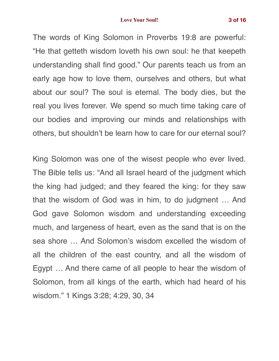## **Love Your Soul! 3 of 16**

The words of King Solomon in Proverbs 19:8 are powerful: "He that getteth wisdom loveth his own soul: he that keepeth understanding shall find good." Our parents teach us from an early age how to love them, ourselves and others, but what about our soul? The soul is eternal. The body dies, but the real you lives forever. We spend so much time taking care of our bodies and improving our minds and relationships with others, but shouldn't be learn how to care for our eternal soul?

King Solomon was one of the wisest people who ever lived. The Bible tells us: "And all Israel heard of the judgment which the king had judged; and they feared the king: for they saw that the wisdom of God was in him, to do judgment … And God gave Solomon wisdom and understanding exceeding much, and largeness of heart, even as the sand that is on the sea shore … And Solomon's wisdom excelled the wisdom of all the children of the east country, and all the wisdom of Egypt … And there came of all people to hear the wisdom of Solomon, from all kings of the earth, which had heard of his wisdom." 1 Kings 3:28; 4:29, 30, 34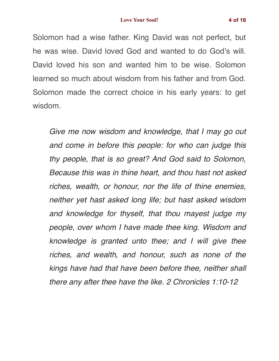Solomon had a wise father. King David was not perfect, but he was wise. David loved God and wanted to do God's will. David loved his son and wanted him to be wise. Solomon learned so much about wisdom from his father and from God. Solomon made the correct choice in his early years: to get wisdom.

*Give me now wisdom and knowledge, that I may go out and come in before this people: for who can judge this thy people, that is so great? And God said to Solomon, Because this was in thine heart, and thou hast not asked riches, wealth, or honour, nor the life of thine enemies, neither yet hast asked long life; but hast asked wisdom and knowledge for thyself, that thou mayest judge my people, over whom I have made thee king. Wisdom and knowledge is granted unto thee; and I will give thee riches, and wealth, and honour, such as none of the kings have had that have been before thee, neither shall there any after thee have the like. 2 Chronicles 1:10-12*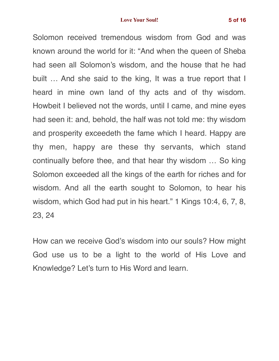Solomon received tremendous wisdom from God and was known around the world for it: "And when the queen of Sheba had seen all Solomon's wisdom, and the house that he had built … And she said to the king, It was a true report that I heard in mine own land of thy acts and of thy wisdom. Howbeit I believed not the words, until I came, and mine eyes had seen it: and, behold, the half was not told me: thy wisdom and prosperity exceedeth the fame which I heard. Happy are thy men, happy are these thy servants, which stand continually before thee, and that hear thy wisdom … So king Solomon exceeded all the kings of the earth for riches and for wisdom. And all the earth sought to Solomon, to hear his wisdom, which God had put in his heart." 1 Kings 10:4, 6, 7, 8, 23, 24

How can we receive God's wisdom into our souls? How might God use us to be a light to the world of His Love and Knowledge? Let's turn to His Word and learn.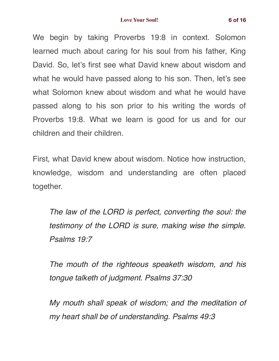We begin by taking Proverbs 19:8 in context. Solomon learned much about caring for his soul from his father, King David. So, let's first see what David knew about wisdom and what he would have passed along to his son. Then, let's see what Solomon knew about wisdom and what he would have passed along to his son prior to his writing the words of Proverbs 19:8. What we learn is good for us and for our children and their children.

First, what David knew about wisdom. Notice how instruction, knowledge, wisdom and understanding are often placed together.

*The law of the LORD is perfect, converting the soul: the testimony of the LORD is sure, making wise the simple. Psalms 19:7*

*The mouth of the righteous speaketh wisdom, and his tongue talketh of judgment. Psalms 37:30*

*My mouth shall speak of wisdom; and the meditation of my heart shall be of understanding. Psalms 49:3*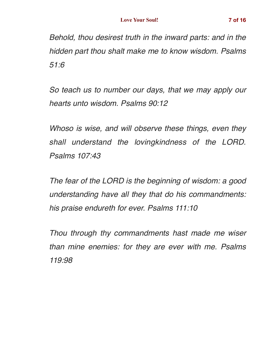*Behold, thou desirest truth in the inward parts: and in the hidden part thou shalt make me to know wisdom. Psalms 51:6*

*So teach us to number our days, that we may apply our hearts unto wisdom. Psalms 90:12*

*Whoso is wise, and will observe these things, even they shall understand the lovingkindness of the LORD. Psalms 107:43*

*The fear of the LORD is the beginning of wisdom: a good understanding have all they that do his commandments: his praise endureth for ever. Psalms 111:10*

*Thou through thy commandments hast made me wiser than mine enemies: for they are ever with me. Psalms 119:98*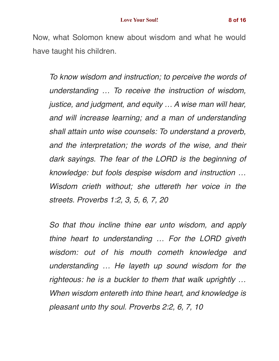Now, what Solomon knew about wisdom and what he would have taught his children.

*To know wisdom and instruction; to perceive the words of understanding … To receive the instruction of wisdom, justice, and judgment, and equity … A wise man will hear, and will increase learning; and a man of understanding shall attain unto wise counsels: To understand a proverb, and the interpretation; the words of the wise, and their dark sayings. The fear of the LORD is the beginning of knowledge: but fools despise wisdom and instruction … Wisdom crieth without; she uttereth her voice in the streets. Proverbs 1:2, 3, 5, 6, 7, 20*

*So that thou incline thine ear unto wisdom, and apply thine heart to understanding … For the LORD giveth wisdom: out of his mouth cometh knowledge and understanding … He layeth up sound wisdom for the righteous: he is a buckler to them that walk uprightly … When wisdom entereth into thine heart, and knowledge is pleasant unto thy soul. Proverbs 2:2, 6, 7, 10*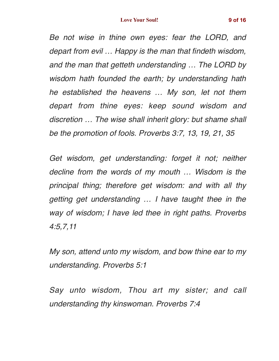*Be not wise in thine own eyes: fear the LORD, and depart from evil … Happy is the man that findeth wisdom, and the man that getteth understanding … The LORD by wisdom hath founded the earth; by understanding hath he established the heavens … My son, let not them depart from thine eyes: keep sound wisdom and discretion … The wise shall inherit glory: but shame shall be the promotion of fools. Proverbs 3:7, 13, 19, 21, 35*

*Get wisdom, get understanding: forget it not; neither decline from the words of my mouth … Wisdom is the principal thing; therefore get wisdom: and with all thy getting get understanding … I have taught thee in the way of wisdom; I have led thee in right paths. Proverbs 4:5,7,11*

*My son, attend unto my wisdom, and bow thine ear to my understanding. Proverbs 5:1*

*Say unto wisdom, Thou art my sister; and call understanding thy kinswoman. Proverbs 7:4*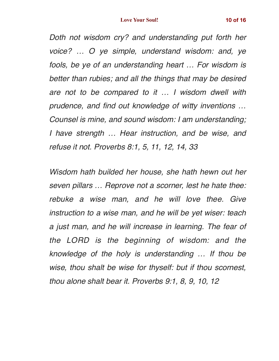*Doth not wisdom cry? and understanding put forth her voice? … O ye simple, understand wisdom: and, ye fools, be ye of an understanding heart … For wisdom is better than rubies; and all the things that may be desired are not to be compared to it … I wisdom dwell with prudence, and find out knowledge of witty inventions … Counsel is mine, and sound wisdom: I am understanding; I have strength … Hear instruction, and be wise, and refuse it not. Proverbs 8:1, 5, 11, 12, 14, 33*

*Wisdom hath builded her house, she hath hewn out her seven pillars … Reprove not a scorner, lest he hate thee: rebuke a wise man, and he will love thee. Give instruction to a wise man, and he will be yet wiser: teach a just man, and he will increase in learning. The fear of the LORD is the beginning of wisdom: and the knowledge of the holy is understanding … If thou be wise, thou shalt be wise for thyself: but if thou scornest, thou alone shalt bear it. Proverbs 9:1, 8, 9, 10, 12*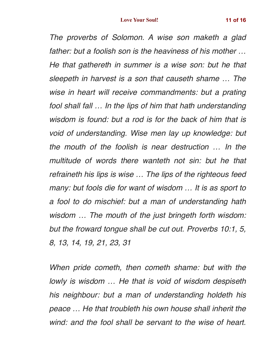*The proverbs of Solomon. A wise son maketh a glad father: but a foolish son is the heaviness of his mother … He that gathereth in summer is a wise son: but he that sleepeth in harvest is a son that causeth shame … The wise in heart will receive commandments: but a prating fool shall fall … In the lips of him that hath understanding wisdom is found: but a rod is for the back of him that is void of understanding. Wise men lay up knowledge: but the mouth of the foolish is near destruction … In the multitude of words there wanteth not sin: but he that refraineth his lips is wise … The lips of the righteous feed many: but fools die for want of wisdom … It is as sport to a fool to do mischief: but a man of understanding hath wisdom … The mouth of the just bringeth forth wisdom: but the froward tongue shall be cut out. Proverbs 10:1, 5, 8, 13, 14, 19, 21, 23, 31*

*When pride cometh, then cometh shame: but with the lowly is wisdom … He that is void of wisdom despiseth his neighbour: but a man of understanding holdeth his peace … He that troubleth his own house shall inherit the wind: and the fool shall be servant to the wise of heart.*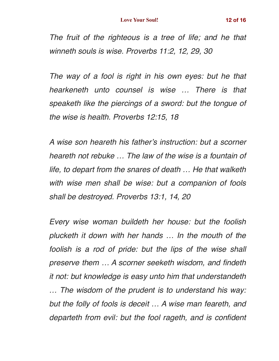*The fruit of the righteous is a tree of life; and he that winneth souls is wise. Proverbs 11:2, 12, 29, 30*

*The way of a fool is right in his own eyes: but he that hearkeneth unto counsel is wise … There is that speaketh like the piercings of a sword: but the tongue of the wise is health. Proverbs 12:15, 18*

*A wise son heareth his father's instruction: but a scorner heareth not rebuke … The law of the wise is a fountain of life, to depart from the snares of death … He that walketh with wise men shall be wise: but a companion of fools shall be destroyed. Proverbs 13:1, 14, 20*

*Every wise woman buildeth her house: but the foolish plucketh it down with her hands … In the mouth of the foolish is a rod of pride: but the lips of the wise shall preserve them … A scorner seeketh wisdom, and findeth it not: but knowledge is easy unto him that understandeth … The wisdom of the prudent is to understand his way: but the folly of fools is deceit … A wise man feareth, and departeth from evil: but the fool rageth, and is confident*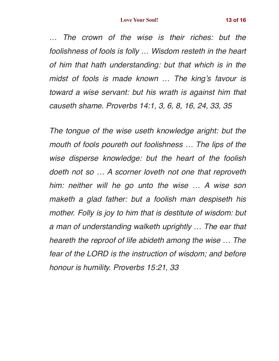*… The crown of the wise is their riches: but the foolishness of fools is folly … Wisdom resteth in the heart of him that hath understanding: but that which is in the midst of fools is made known … The king's favour is toward a wise servant: but his wrath is against him that causeth shame. Proverbs 14:1, 3, 6, 8, 16, 24, 33, 35*

*The tongue of the wise useth knowledge aright: but the mouth of fools poureth out foolishness … The lips of the wise disperse knowledge: but the heart of the foolish doeth not so … A scorner loveth not one that reproveth him: neither will he go unto the wise … A wise son maketh a glad father: but a foolish man despiseth his mother. Folly is joy to him that is destitute of wisdom: but a man of understanding walketh uprightly … The ear that heareth the reproof of life abideth among the wise … The fear of the LORD is the instruction of wisdom; and before honour is humility. Proverbs 15:21, 33*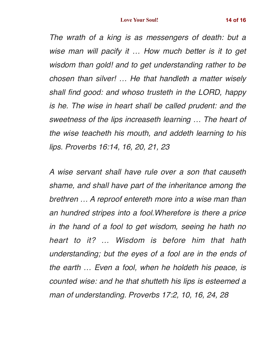*The wrath of a king is as messengers of death: but a wise man will pacify it … How much better is it to get wisdom than gold! and to get understanding rather to be chosen than silver! … He that handleth a matter wisely shall find good: and whoso trusteth in the LORD, happy is he. The wise in heart shall be called prudent: and the sweetness of the lips increaseth learning … The heart of the wise teacheth his mouth, and addeth learning to his lips. Proverbs 16:14, 16, 20, 21, 23*

*A wise servant shall have rule over a son that causeth shame, and shall have part of the inheritance among the brethren … A reproof entereth more into a wise man than an hundred stripes into a fool.Wherefore is there a price in the hand of a fool to get wisdom, seeing he hath no heart to it? … Wisdom is before him that hath understanding; but the eyes of a fool are in the ends of the earth … Even a fool, when he holdeth his peace, is counted wise: and he that shutteth his lips is esteemed a man of understanding. Proverbs 17:2, 10, 16, 24, 28*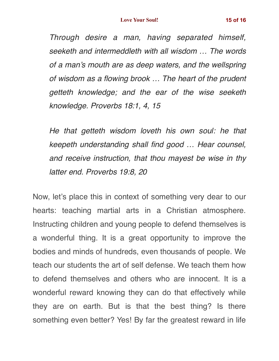*Through desire a man, having separated himself, seeketh and intermeddleth with all wisdom … The words of a man's mouth are as deep waters, and the wellspring of wisdom as a flowing brook … The heart of the prudent getteth knowledge; and the ear of the wise seeketh knowledge. Proverbs 18:1, 4, 15*

*He that getteth wisdom loveth his own soul: he that keepeth understanding shall find good … Hear counsel, and receive instruction, that thou mayest be wise in thy latter end. Proverbs 19:8, 20*

Now, let's place this in context of something very dear to our hearts: teaching martial arts in a Christian atmosphere. Instructing children and young people to defend themselves is a wonderful thing. It is a great opportunity to improve the bodies and minds of hundreds, even thousands of people. We teach our students the art of self defense. We teach them how to defend themselves and others who are innocent. It is a wonderful reward knowing they can do that effectively while they are on earth. But is that the best thing? Is there something even better? Yes! By far the greatest reward in life